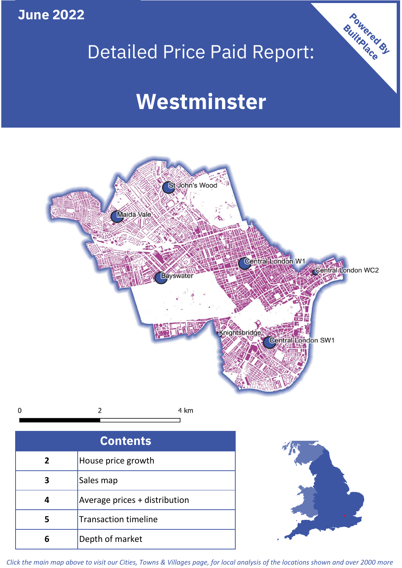**June 2022**

# Detailed Price Paid Report:

Powered By

# **Westminster**



*Click the main map above to visit our Cities, Towns & Villages page, for local analysis of the locations shown and over 2000 more*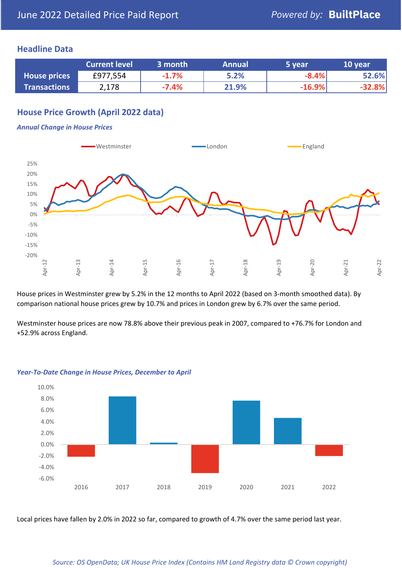## **Headline Data**

|                     | <b>Current level</b> | 3 month | <b>Annual</b> | 5 year   | 10 year  |
|---------------------|----------------------|---------|---------------|----------|----------|
| <b>House prices</b> | £977,554             | $-1.7%$ | 5.2%          | $-8.4%$  | 52.6%    |
| <b>Transactions</b> | 2,178                | $-7.4%$ | 21.9%         | $-16.9%$ | $-32.8%$ |

# **House Price Growth (April 2022 data)**

#### *Annual Change in House Prices*



House prices in Westminster grew by 5.2% in the 12 months to April 2022 (based on 3-month smoothed data). By comparison national house prices grew by 10.7% and prices in London grew by 6.7% over the same period.

Westminster house prices are now 78.8% above their previous peak in 2007, compared to +76.7% for London and +52.9% across England.



#### *Year-To-Date Change in House Prices, December to April*

Local prices have fallen by 2.0% in 2022 so far, compared to growth of 4.7% over the same period last year.

#### *Source: OS OpenData; UK House Price Index (Contains HM Land Registry data © Crown copyright)*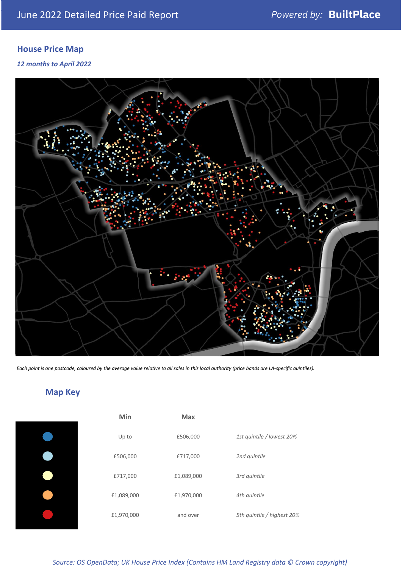# **House Price Map**

*12 months to April 2022*



*Each point is one postcode, coloured by the average value relative to all sales in this local authority (price bands are LA-specific quintiles).*

# **Map Key**

| Min        | <b>Max</b> |                            |
|------------|------------|----------------------------|
| Up to      | £506,000   | 1st quintile / lowest 20%  |
| £506,000   | £717,000   | 2nd quintile               |
| £717,000   | £1,089,000 | 3rd quintile               |
| £1,089,000 | £1,970,000 | 4th quintile               |
| £1,970,000 | and over   | 5th quintile / highest 20% |

## *Source: OS OpenData; UK House Price Index (Contains HM Land Registry data © Crown copyright)*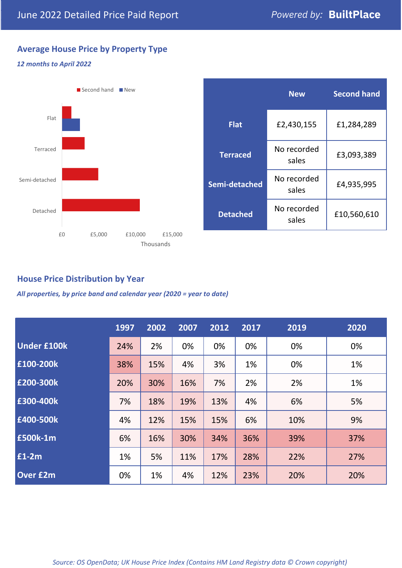# **Average House Price by Property Type**

## *12 months to April 2022*



|                 | <b>New</b>           | <b>Second hand</b> |  |
|-----------------|----------------------|--------------------|--|
| <b>Flat</b>     | £2,430,155           | £1,284,289         |  |
| <b>Terraced</b> | No recorded<br>sales | £3,093,389         |  |
| Semi-detached   | No recorded<br>sales | £4,935,995         |  |
| <b>Detached</b> | No recorded<br>sales | £10,560,610        |  |

## **House Price Distribution by Year**

*All properties, by price band and calendar year (2020 = year to date)*

|                    | 1997 | 2002 | 2007 | 2012 | 2017 | 2019 | 2020 |
|--------------------|------|------|------|------|------|------|------|
| <b>Under £100k</b> | 24%  | 2%   | 0%   | 0%   | 0%   | 0%   | 0%   |
| £100-200k          | 38%  | 15%  | 4%   | 3%   | 1%   | 0%   | 1%   |
| E200-300k          | 20%  | 30%  | 16%  | 7%   | 2%   | 2%   | 1%   |
| £300-400k          | 7%   | 18%  | 19%  | 13%  | 4%   | 6%   | 5%   |
| £400-500k          | 4%   | 12%  | 15%  | 15%  | 6%   | 10%  | 9%   |
| £500k-1m           | 6%   | 16%  | 30%  | 34%  | 36%  | 39%  | 37%  |
| £1-2m              | 1%   | 5%   | 11%  | 17%  | 28%  | 22%  | 27%  |
| <b>Over £2m</b>    | 0%   | 1%   | 4%   | 12%  | 23%  | 20%  | 20%  |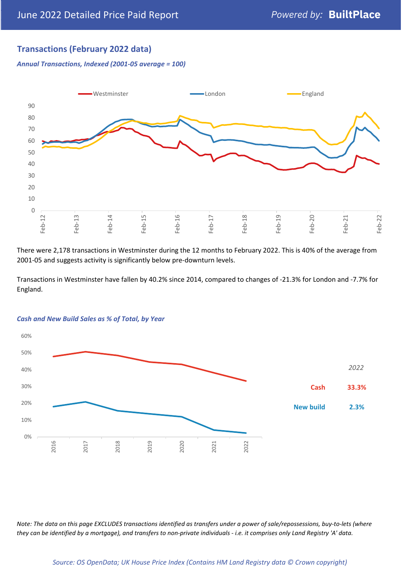## **Transactions (February 2022 data)**

*Annual Transactions, Indexed (2001-05 average = 100)*



There were 2,178 transactions in Westminster during the 12 months to February 2022. This is 40% of the average from 2001-05 and suggests activity is significantly below pre-downturn levels.

Transactions in Westminster have fallen by 40.2% since 2014, compared to changes of -21.3% for London and -7.7% for England.



#### *Cash and New Build Sales as % of Total, by Year*

*Note: The data on this page EXCLUDES transactions identified as transfers under a power of sale/repossessions, buy-to-lets (where they can be identified by a mortgage), and transfers to non-private individuals - i.e. it comprises only Land Registry 'A' data.*